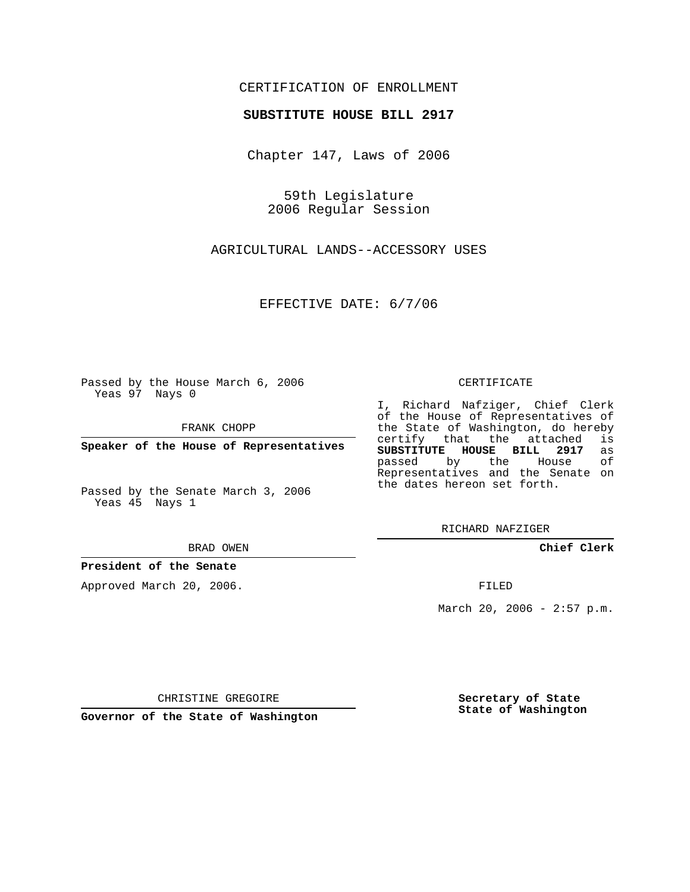### CERTIFICATION OF ENROLLMENT

#### **SUBSTITUTE HOUSE BILL 2917**

Chapter 147, Laws of 2006

59th Legislature 2006 Regular Session

AGRICULTURAL LANDS--ACCESSORY USES

EFFECTIVE DATE: 6/7/06

Passed by the House March 6, 2006 Yeas 97 Nays 0

FRANK CHOPP

**Speaker of the House of Representatives**

Passed by the Senate March 3, 2006 Yeas 45 Nays 1

BRAD OWEN

### **President of the Senate**

Approved March 20, 2006.

CERTIFICATE

I, Richard Nafziger, Chief Clerk of the House of Representatives of the State of Washington, do hereby<br>certify that the attached is certify that the attached **SUBSTITUTE HOUSE BILL 2917** as passed by the House Representatives and the Senate on the dates hereon set forth.

RICHARD NAFZIGER

**Chief Clerk**

FILED

March 20, 2006 -  $2:57$  p.m.

CHRISTINE GREGOIRE

**Governor of the State of Washington**

**Secretary of State State of Washington**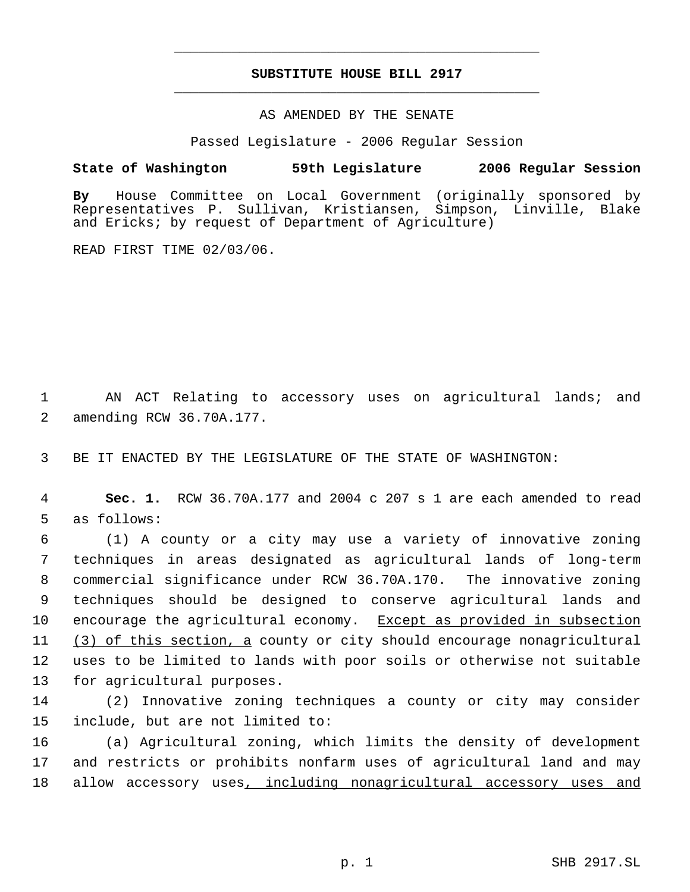# **SUBSTITUTE HOUSE BILL 2917** \_\_\_\_\_\_\_\_\_\_\_\_\_\_\_\_\_\_\_\_\_\_\_\_\_\_\_\_\_\_\_\_\_\_\_\_\_\_\_\_\_\_\_\_\_

\_\_\_\_\_\_\_\_\_\_\_\_\_\_\_\_\_\_\_\_\_\_\_\_\_\_\_\_\_\_\_\_\_\_\_\_\_\_\_\_\_\_\_\_\_

### AS AMENDED BY THE SENATE

Passed Legislature - 2006 Regular Session

## **State of Washington 59th Legislature 2006 Regular Session**

**By** House Committee on Local Government (originally sponsored by Representatives P. Sullivan, Kristiansen, Simpson, Linville, Blake and Ericks; by request of Department of Agriculture)

READ FIRST TIME 02/03/06.

 1 AN ACT Relating to accessory uses on agricultural lands; and 2 amending RCW 36.70A.177.

3 BE IT ENACTED BY THE LEGISLATURE OF THE STATE OF WASHINGTON:

 4 **Sec. 1.** RCW 36.70A.177 and 2004 c 207 s 1 are each amended to read 5 as follows:

 (1) A county or a city may use a variety of innovative zoning techniques in areas designated as agricultural lands of long-term commercial significance under RCW 36.70A.170. The innovative zoning techniques should be designed to conserve agricultural lands and encourage the agricultural economy. Except as provided in subsection 11 (3) of this section, a county or city should encourage nonagricultural uses to be limited to lands with poor soils or otherwise not suitable for agricultural purposes.

14 (2) Innovative zoning techniques a county or city may consider 15 include, but are not limited to:

16 (a) Agricultural zoning, which limits the density of development 17 and restricts or prohibits nonfarm uses of agricultural land and may 18 allow accessory uses, including nonagricultural accessory uses and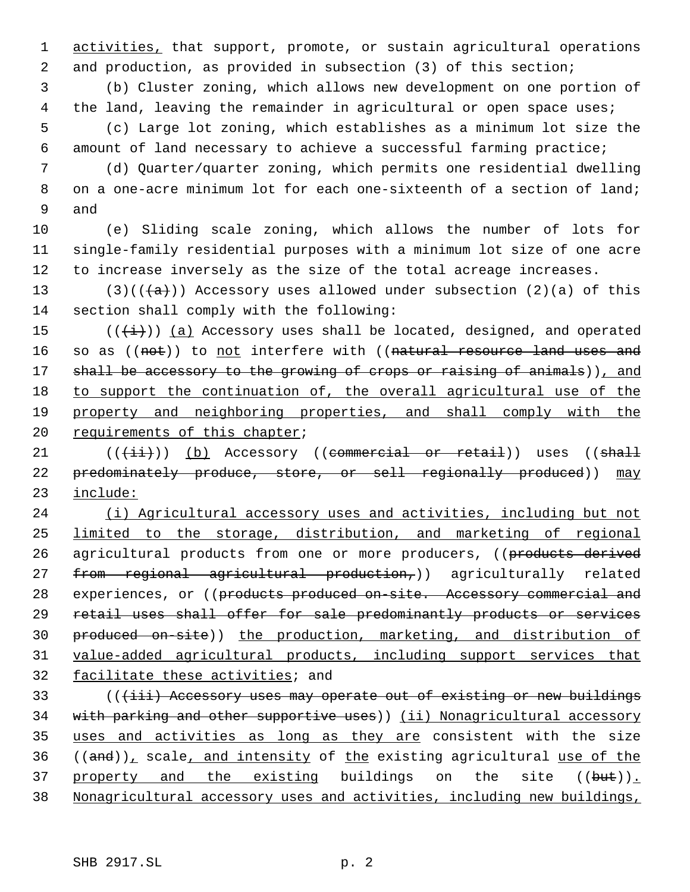1 activities, that support, promote, or sustain agricultural operations 2 and production, as provided in subsection (3) of this section;

 3 (b) Cluster zoning, which allows new development on one portion of 4 the land, leaving the remainder in agricultural or open space uses; 5 (c) Large lot zoning, which establishes as a minimum lot size the

6 amount of land necessary to achieve a successful farming practice;

 7 (d) Quarter/quarter zoning, which permits one residential dwelling 8 on a one-acre minimum lot for each one-sixteenth of a section of land; 9 and

10 (e) Sliding scale zoning, which allows the number of lots for 11 single-family residential purposes with a minimum lot size of one acre 12 to increase inversely as the size of the total acreage increases.

13 (3)(( $\frac{1}{a}$ )) Accessory uses allowed under subsection (2)(a) of this 14 section shall comply with the following:

15 ( $(\frac{1}{1})$ ) (a) Accessory uses shall be located, designed, and operated 16 so as ((not)) to not interfere with ((natural resource land uses and 17 shall be accessory to the growing of crops or raising of animals)), and 18 to support the continuation of, the overall agricultural use of the 19 property and neighboring properties, and shall comply with the 20 requirements of this chapter;

21  $((\{\text{iii}\})$  (b) Accessory ((commercial or retail)) uses ((shall 22 predominately produce, store, or sell regionally produced)) may 23 include:

24 (i) Agricultural accessory uses and activities, including but not 25 limited to the storage, distribution, and marketing of regional 26 agricultural products from one or more producers, ((products derived 27 from regional agricultural production,)) agriculturally related 28 experiences, or ((products produced on-site. Accessory commercial and 29 retail uses shall offer for sale predominantly products or services 30 produced on-site)) the production, marketing, and distribution of 31 value-added agricultural products, including support services that 32 facilitate these activities; and

33 (((iii) Accessory uses may operate out of existing or new buildings 34 with parking and other supportive uses)) (ii) Nonagricultural accessory 35 uses and activities as long as they are consistent with the size  $36$  ((and)), scale, and intensity of the existing agricultural use of the 37 property and the existing buildings on the site ((but)). 38 Nonagricultural accessory uses and activities, including new buildings,